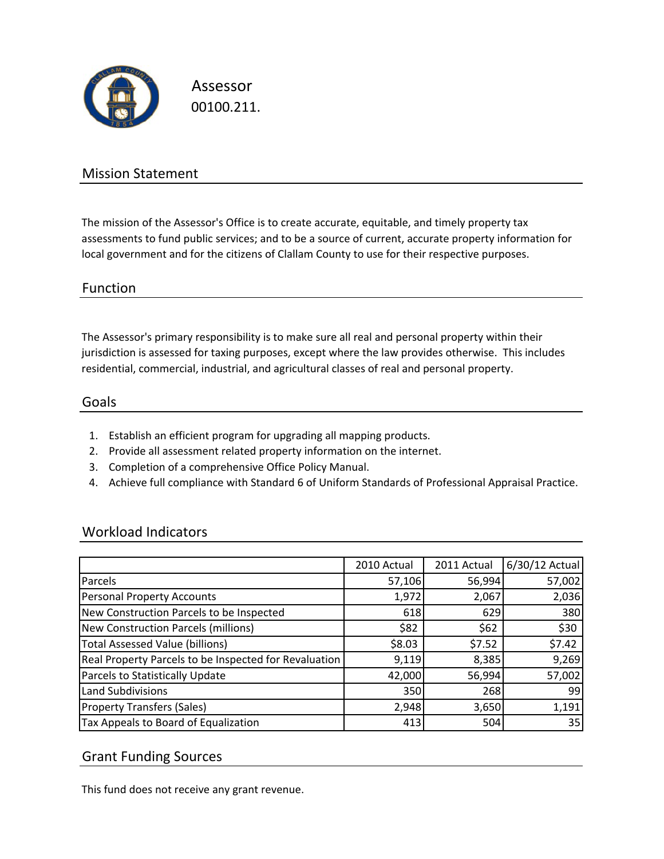

Assessor 00100.211.

## Mission Statement

The mission of the Assessor's Office is to create accurate, equitable, and timely property tax assessments to fund public services; and to be a source of current, accurate property information for local government and for the citizens of Clallam County to use for their respective purposes.

### Function

The Assessor's primary responsibility is to make sure all real and personal property within their jurisdiction is assessed for taxing purposes, except where the law provides otherwise. This includes residential, commercial, industrial, and agricultural classes of real and personal property.

#### Goals

- 1. Establish an efficient program for upgrading all mapping products.
- 2. Provide all assessment related property information on the internet.
- 3. Completion of a comprehensive Office Policy Manual.
- 4. Achieve full compliance with Standard 6 of Uniform Standards of Professional Appraisal Practice.

### Workload Indicators

|                                                       | 2010 Actual | 2011 Actual | 6/30/12 Actual |
|-------------------------------------------------------|-------------|-------------|----------------|
| Parcels                                               | 57,106      | 56,994      | 57,002         |
| <b>Personal Property Accounts</b>                     | 1,972       | 2,067       | 2,036          |
| New Construction Parcels to be Inspected              | 618         | 629         | 380            |
| New Construction Parcels (millions)                   | \$82        | \$62        | \$30           |
| <b>Total Assessed Value (billions)</b>                | \$8.03      | \$7.52      | \$7.42         |
| Real Property Parcels to be Inspected for Revaluation | 9,119       | 8,385       | 9,269          |
| Parcels to Statistically Update                       | 42,000      | 56,994      | 57,002         |
| <b>Land Subdivisions</b>                              | 350         | 268         | 99             |
| <b>Property Transfers (Sales)</b>                     | 2,948       | 3,650       | 1,191          |
| Tax Appeals to Board of Equalization                  | 413         | 504         | 35             |

### Grant Funding Sources

This fund does not receive any grant revenue.